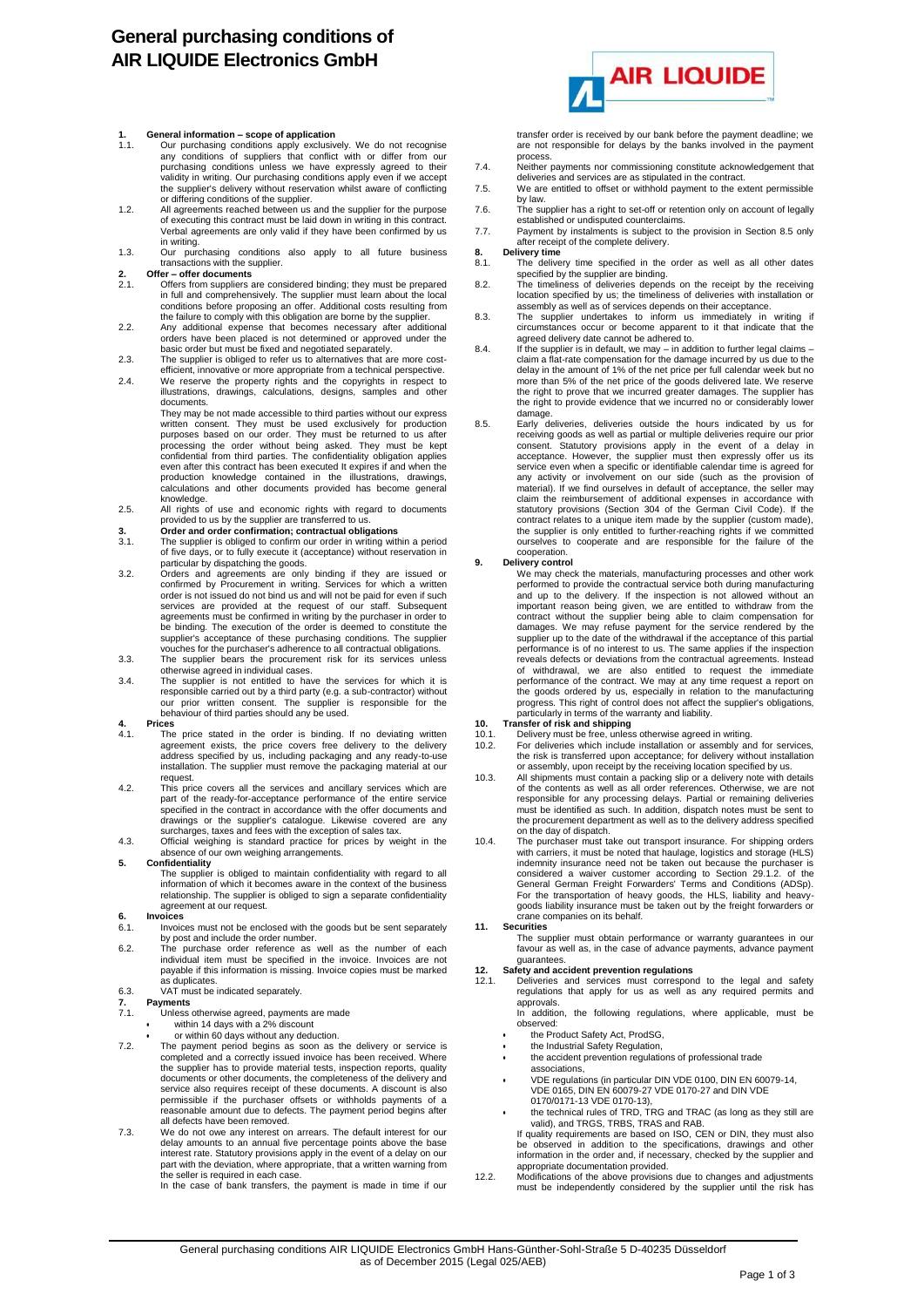# **General purchasing conditions of AIR LIQUIDE Electronics GmbH**

## **1. General information – scope of application**

- 1.1. Our purchasing conditions apply exclusively. We do not recognise any conditions of suppliers that conflict with or differ from our purchasing conditions unless we have expressly agreed to their validity in writing. Our purchasing conditions apply even if we accept the supplier's delivery without reservation whilst aware of conflicting
- or differing conditions of the supplier. 1.2. All agreements reached between us and the supplier for the purpose of executing this contract must be laid down in writing in this contract. Verbal agreements are only valid if they have been confirmed by us
- in writing. 1.3. Our purchasing conditions also apply to all future business transactions with the supplier.

- **2. Offer – offer documents** 2.1. Offers from suppliers are considered binding; they must be prepared in full and comprehensively. The supplier must learn about the local<br>conditions before proposing an offer. Additional costs resulting from<br>the failure to comply with this obligation are borne by the supplier.<br>2.2. Any addi
- orders have been placed is not determined or approved under the basic order but must be fixed and negotiated separately.
- 2.3. The supplier is obliged to refer us to alternatives that are more cost-efficient, innovative or more appropriate from a technical perspective.
- 2.4. We reserve the property rights and the copyrights in respect to illustrations, drawings, calculations, designs, samples and other documents.

They may be not made accessible to third parties without our express written consent. They must be used exclusively for production purposes based on our order. They must be returned to us after processing the order without being asked. They must be kept<br>confidential from third parties. The confidentiality obligation applies<br>even after this contract has been executed It expires if and when the production knowledge contained in the illustrations, drawings, calculations and other documents provided has become general

- knowledge.<br>2.5. All rights of use and economic rights with regard to documents<br>provided to us by the supplier are transferred to us.<br>3. **Order and order confirmation; contractual obligations**<br>3.1. The supplier is obliged t
- 
- of five days, or to fully execute it (acceptance) without reservation in
- particular by dispatching the goods.<br>3.2. Orders and agreements are only binding if they are issued or<br>confirmed by Procurement in writing. Services for which a written<br>order is not issued do not bind us and will not be pa agreements must be confirmed in writing by the purchaser in order to be binding. The execution of the order is deemed to constitute the supplier's acceptance of these purchasing conditions. The supplier vouches for the purchaser's adherence to all contractual obligations.
- 3.3. The supplier bears the procurement risk for its services unless otherwise agreed in individual cases. 3.4. The supplier is not entitled to have the services for which it is
- responsible carried out by a third party (e.g. a sub-contractor) without our prior written consent. The supplier is responsible for the behaviour of third parties should any be used.

## **4. Prices**

- 4.1. The price stated in the order is binding. If no deviating written agreement exists, the price covers free delivery to the delivery address specified by us, including packaging and any ready-to-use installation. The supplier must remove the packaging material at our request
- 4.2. This price covers all the services and ancillary services which are part of the ready-for-acceptance performance of the entire service specified in the contract in accordance with the offer documents and drawings or the supplier's catalogue. Likewise covered are any
- surcharges, taxes and fees with the exception of sales tax. 4.3. Official weighing is standard practice for prices by weight in the absence of our own weighing arrangements

### **5. Confidentiality**

The supplier is obliged to maintain confidentiality with regard to all information of which it becomes aware in the context of the business relationship. The supplier is obliged to sign a separate confidentiality agreement at our request.

- **6. Invoices** Invoices must not be enclosed with the goods but be sent separately
- by post and include the order number. 6.2. The purchase order reference as well as the number of each individual item must be specified in the invoice. Invoices are not payable if this information is missing. Invoice copies must be marked as duplicates 6.3. VAT must be indicated separately.

- **7. Payments** 7.1. Unless otherwise agreed, payments are made
	- within 14 days with a 2% discount
		-
- or within 60 days without any deduction.<br>T.2. The payment period begins as soom as the delivery or service is<br>completed and a correctly issued invoice has been received. Where<br>the supplier has to provide material tests, documents or other documents, the completeness of the delivery and service also requires receipt of these documents. A discount is also permissible if the purchaser offsets or withholds payments of a reasonable amount due to defects. The payment period begins after all defects have been removed.
- 7.3. We do not owe any interest on arrears. The default interest for our delay amounts to an annual five percentage points above the base<br>interest rate. Statutory provisions apply in the event of a delay on our<br>part with the deviation, where appropriate, that a written warning from<br>the seller i

In the case of bank transfers, the payment is made in time if our



transfer order is received by our bank before the payment deadline; we are not responsible for delays by the banks involved in the payment

- process. 7.4. Neither payments nor commissioning constitute acknowledgement that deliveries and services are as stipulated in the contract.
- 7.5. We are entitled to offset or withhold payment to the extent permissible by law.
- 7.6. The supplier has a right to set-off or retention only on account of legally established or undisputed counterclaims. 7.7. Payment by instalments is subject to the provision in Section 8.5 only
- after receipt of the complete delivery. **8. Delivery time**
- 8. **Delivery time**<br>8.1. The delivery time specified in the order as well as all other dates
- specified by the supplier are binding. 8.2. The timeliness of deliveries depends on the receipt by the receiving location specified by us; the timeliness of deliveries with installation or assembly as well as of services depends on their acceptance.
- 8.3. The supplier undertakes to inform us immediately in writing if circumstances occur or become apparent to it that indicate that the
- agreed delivery date cannot be adhered to.<br>8.4. If the supplier is in default, we may in addition to further legal claims –<br>claim a flat-rate compensation for the damage incurred by us due to the<br>delay in the amount of 1 more than 5% of the net price of the goods delivered late. We reserve the right to prove that we incurred greater damages. The supplier has the right to provide evidence that we incurred no or considerably lower
- damage. 8.5. Early deliveries, deliveries outside the hours indicated by us for receiving goods as well as partial or multiple deliveries require our prior consent. Statutory provisions apply in the event of a delay in acceptance. However, the supplier must then expressly offer us its service even when a specific or identifiable calendar time is agreed for any activity or involvement on our side (such as the provision of material). If we find ourselves in default of acceptance, the seller may claim the reimbursement of additional expenses in accordance with statutory provisions (Section 304 of the German Civil Code). If the contract relates to a unique item made by the supplier (custom made), the supplier is only entitled to further-reaching rights if we committed ourselves to cooperate and are responsible for the failure of the cooperation.

**9. Delivery control**<br>We may check the materials, manufacturing processes and other work<br>performed to provide the contractual service both during manufacturing and up to the delivery. If the inspection is not allowed without an important reason being given, we are entitled to withdraw from the contract without the supplier being able to claim compensation for damages. We may refuse payment for the service rendered by the supplier up to the date of the withdrawal if the acceptance of this partial performance is of no interest to us. The same applies if the inspection reveals defects or deviations from the contractual agreements. Instead<br>of withdrawal, we are also entitled to request the immediate<br>performance of the contract. We may at any time request a report on<br>the goods ordered by u

## particularly in terms of the warranty and liability. **10. Transfer of risk and shipping**

- 
- 10.1. Delivery must be free, unless otherwise agreed in writing. 10.2. For deliveries which include installation or assembly and for services, the risk is transferred upon acceptance; for delivery without installation or assembly, upon receipt by the receiving location specified by us.
- 10.3. All shipments must contain a packing slip or a delivery note with details<br>of the contents as well as all order references. Otherwise, we are not<br>responsible for any processing delays. Partial or remaining deliveries<br> the procurement department as well as to the delivery address specified
- on the day of dispatch. 10.4. The purchaser must take out transport insurance. For shipping orders with carriers, it must be noted that haulage, logistics and storage (HLS) indemnity insurance need not be taken out because the purchaser is considered a waiver customer according to Section 29.1.2. of the<br>General German Freight Forwarders' Terms and Conditions (ADSp).<br>For the transportation of heavy goods, the HLS, liability and heavy-<br>goods liability insuranc crane companies on its behalf. **11. Securities**
- - The supplier must obtain performance or warranty guarantees in our favour as well as, in the case of advance payments, advance payment guarantees.

## **12. Safety and accident prevention regulations**

- Deliveries and services must correspond to the legal and safety regulations that apply for us as well as any required permits and approvals.
	- In addition, the following regulations, where applicable, must be observed:
	- the Product Safety Act, ProdSG, the Industrial Safety Regulation,
	-
	- the accident prevention regulations of professional trade associations,
	- VDE regulations (in particular DIN VDE 0100, DIN EN 60079-14, VDE 0165, DIN EN 60079-27 VDE 0170-27 and DIN VDE 0170/0171-13 VDE 0170-13),
	- the technical rules of TRD, TRG and TRAC (as long as they still are valid), and TRGS, TRBS, TRAS and RAB. If quality requirements are based on ISO, CEN or DIN, they must also
	- be observed in addition to the specifications, drawings and other information in the order and, if necessary, checked by the supplier and
- appropriate documentation provided. 12.2. Modifications of the above provisions due to changes and adjustments must be independently considered by the supplier until the risk has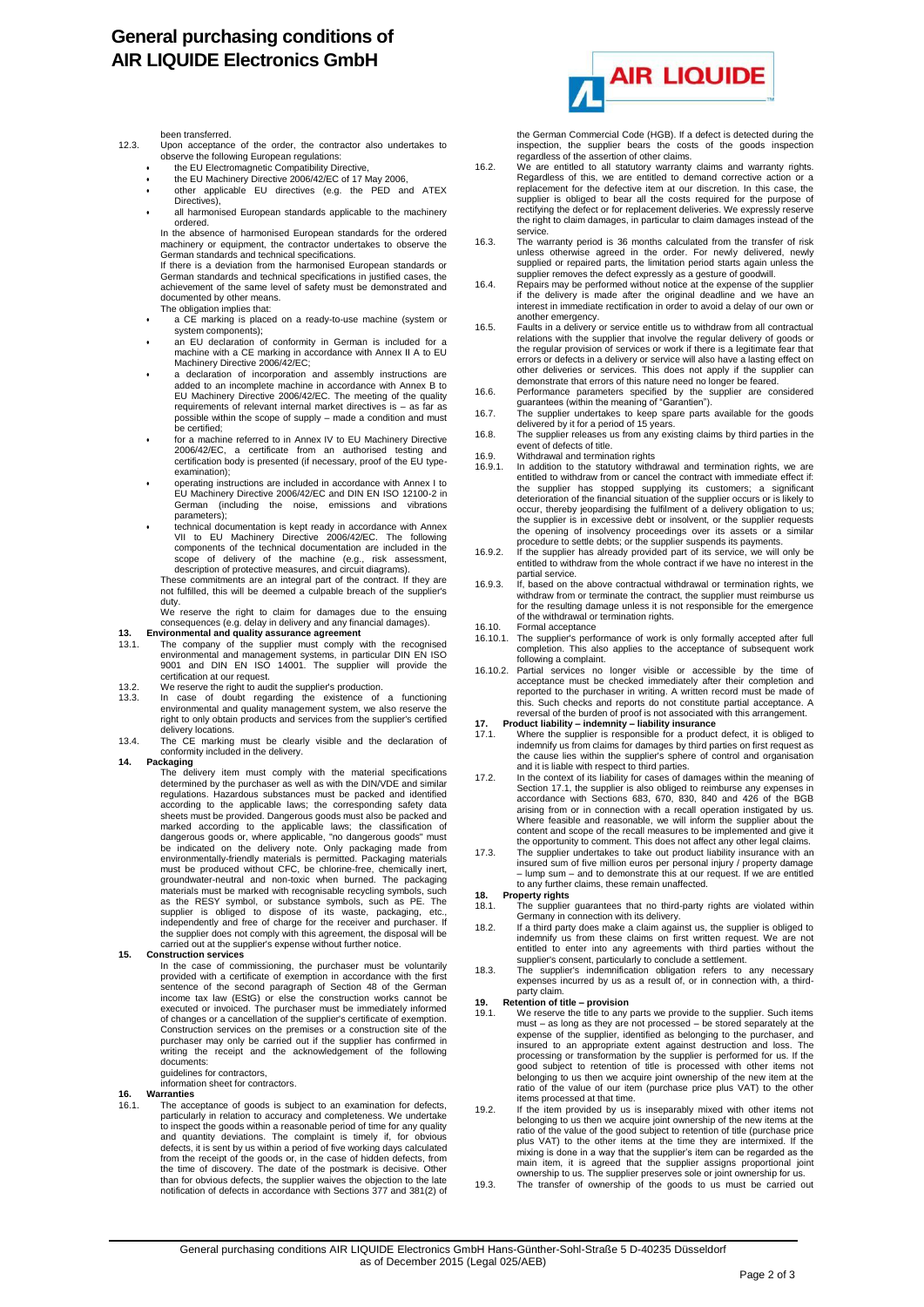## **General purchasing conditions of AIR LIQUIDE Electronics GmbH**

been transferred.

- 12.3. Upon acceptance of the order, the contractor also undertakes to observe the following European regulations:
	- the EU Electromagnetic Compatibility Directive,
	- the EU Machinery Directive 2006/42/EC of 17 May 2006,
	- other applicable EU directives (e.g. the PED and ATEX Directives). all harmonised European standards applicable to the machinery
	- ordered. In the absence of harmonised European standards for the ordered machinery or equipment, the contractor undertakes to observe the

German standards and technical specifications. If there is a deviation from the harmonised European standards or German standards and technical specifications in justified cases, the achievement of the same level of safety must be demonstrated and

- documented by other means. The obligation implies that:
- a CE marking is placed on a ready-to-use machine (system or system components);
- an EU declaration of conformity in German is included for a machine with a CE marking in accordance with Annex II A to EU Machinery Directive 2006/42/EC;
- a declaration of incorporation and assembly instructions are added to an incomplete machine in accordance with Annex B to EU Machinery Directive 2006/42/EC. The meeting of the quality requirements of relevant internal market directives is – as far as possible within the scope of supply – made a condition and must be certified;
- for a machine referred to in Annex IV to EU Machinery Directive 2006/42/EC, a certificate from an authorised testing and certification body is presented (if necessary, proof of the EU typeexamination);
- operating instructions are included in accordance with Annex I to EU Machinery Directive 2006/42/EC and DIN EN ISO 12100-2 in German (including the noise, emissions and vibrations parameters);
- technical documentation is kept ready in accordance with Annex VII to EU Machinery Directive 2006/42/EC. The following components of the technical documentation are included in the scope of delivery of the machine (e.g., risk assessment, description of protective measures, and circuit diagrams). These commitments are an integral part of the contract. If they are

not fulfilled, this will be deemed a culpable breach of the supplier's duty

We reserve the right to claim for damages due to the ensuing consequences (e.g. delay in delivery and any financial damages).

- 
- **13. Environmental and quality assurance agreement**<br>13.1. The company of the supplier must comply with the recognised<br>environmental and management systems, in particular DIN EN ISO<br>9001 and DIN EN ISO 14001. The supplier w certification at our request.
- 13.2. We reserve the right to audit the supplier's production.
- 13.3. In case of doubt regarding the existence of a functioning environmental and quality management system, we also reserve the right to only obtain products and services from the supplier's certified delivery locations.
- 13.4. The CE marking must be clearly visible and the declaration of conformity included in the delivery.

14. Packaging<br>The delivery item must comply with the material specifications<br>determined by the purchaser as well as with the DIN/VDE and similar<br>regulations. Hazardous substances must be packed and identified<br>according to sheets must be provided. Dangerous goods must also be packed and<br>marked according to the applicable laws; the classification of<br>dangerous goods or, where applicable, "no dangerous goods" must<br>be indicated on the delivery n must be produced without CFC, be chlorine-free, chemically inert, groundwater-neutral and non-toxic when burned. The packaging materials must be marked with recognisable recycling symbols, such<br>as the RESY symbol, or substance symbols, such as PE. The<br>supplier is obliged to dispose of its waste, packaging, etc.,<br>independently and free of charge fo the supplier does not comply with this agreement, the disposal will be carried out at the supplier's expense without further notice.

## **15. Construction services**

In the case of commissioning, the purchaser must be voluntarily provided with a certificate of exemption in accordance with the first sentence of the second paragraph of Section 48 of the German<br>income tax law (EStG) or else the construction works cannot be<br>executed or invoiced. The purchaser must be immediately informed of changes or a cancellation of the supplier's certificate of exemption. Construction services on the premises or a construction site of the purchaser may only be carried out if the supplier has confirmed in writing the receipt and the acknowledgement of the following documents:

guidelines for contractors, information sheet for contractors.

## **16. Warranties**

16.1. The acceptance of goods is subject to an examination for defects, particularly in relation to accuracy and completeness. We undertake to inspect the goods within a reasonable period of time for any quality<br>and quantity deviations. The complaint is timely if, for obvious<br>defects, it is sent by us within a period of five working days calculated<br>from the re the time of discovery. The date of the postmark is decisive. Other<br>than for obvious defects, the supplier waives the objection to the late<br>notification of defects in accordance with Sections 377 and 381(2) of



the German Commercial Code (HGB). If a defect is detected during the inspection, the supplier bears the costs of the goods inspection regardless of the assertion of other claims.

- 16.2. We are entitled to all statutory warranty claims and warranty rights. Regardless of this, we are entitled to demand corrective action or a replacement for the defective item at our discretion. In this case, the supplier is obliged to bear all the costs required for the purpose of rectifying the defect or for replacement deliveries. We expressly reserve the right to claim damages, in particular to claim damages instead of the service.
- 16.3. The warranty period is 36 months calculated from the transfer of risk unless otherwise agreed in the order. For newly delivered, newly supplied or repaired parts, the limitation period starts again unless the
- supplier removes the defect expressly as a gesture of goodwill. 16.4. Repairs may be performed without notice at the expense of the supplier if the delivery is made after the original deadline and we have an interest in immediate rectification in order to avoid a delay of our own or
- another emergency. 16.5. Faults in a delivery or service entitle us to withdraw from all contractual relations with the supplier that involve the regular delivery of goods or the regular provision of services or work if there is a legitimate fear that errors or defects in a delivery or service will also have a lasting effect on other deliveries or services. This does not apply if the supplier can demonstrate that errors of this nature need no longer be feared.
- 16.6. Performance parameters specified by the supplier are considered
- guarantees (within the meaning of "Garantien").<br>16.7. The supplier undertakes to keep spare parts available for the goods<br>delivered by it for a period of 15 years.<br>16.8. The supplier releases us from any existing claims by
- event of defects of title.
- 
- 16.9. Withdrawal and termination rights<br>16.9.1. In addition to the statutory withdrawal and termination rights, we are<br>entitled to withdraw from or cancel the contract with immediate effect if:<br>the supplier has stopped sup deterioration of the financial situation of the supplier occurs or is likely to<br>occur, thereby jeopardising the fulfilment of a delivery obligation to us;<br>the supplier is in excessive debt or insolvent, or the supplier req the opening of insolvency proceedings over its assets or a similar procedure to settle debts; or the supplier suspends its payments.
- 16.9.2. If the supplier has already provided part of its service, we will only be entitled to withdraw from the whole contract if we have no interest in the partial service.
- 16.9.3. If, based on the above contractual withdrawal or termination rights, we withdraw from or terminate the contract, the supplier must reimburse us for the resulting damage unless it is not responsible for the emergence of the withdrawal or termination rights.
- 16.10. Formal acceptance<br>16.10.1. The supplier's perfo
- The supplier's performance of work is only formally accepted after full completion. This also applies to the acceptance of subsequent work
- following a complaint.<br>16.10.2. Partial services no longer visible or accessible by the time of<br>acceptance must be checked immediately after their completion and<br>reported to the purchaser in writing. A written record must
- 
- reversal of the burden of proof is not associated with this arrangement.<br>17. Product liability indemnity liability insurance<br>17.1. Where the supplier is responsible for a product defect, it is obliged to<br>indemnify us f the cause lies within the supplier's sphere of control and organisation and it is liable with respect to third parties.
- 17.2. In the context of its liability for cases of damages within the meaning of Section 17.1, the supplier is also obliged to reimburse any expenses in accordance with Sections 683, 670, 830, 840 and 426 of the BGB arising from or in connection with a recall operation instigated by us. Where feasible and reasonable, we will inform the supplier about the content and scope of the recall measures to be implemented and give it the opportunity to comment. This does not affect any other legal claims.
- 17.3. The supplier undertakes to take out product liability insurance with an insured sum of five million euros per personal injury / property damage – lump sum – and to demonstrate this at our request. If we are entitled to any further claims, these remain unaffected.
- **18. Property rights**
- The supplier guarantees that no third-party rights are violated within Germany in connection with its delivery. 18.2. If a third party does make a claim against us, the supplier is obliged to
- indemnify us from these claims on first written request. We are not entitled to enter into any agreements with third parties without the supplier's consent, particularly to conclude a settlement.
- 18.3. The supplier's indemnification obligation refers to any necessary expenses incurred by us as a result of, or in connection with, a thirdparty claim.

# **19. Retention of title – provision**

- We reserve the title to any parts we provide to the supplier. Such items must – as long as they are not processed – be stored separately at the expense of the supplier, identified as belonging to the purchaser, and insured to an appropriate extent against destruction and loss. The processing or transformation by the supplier is performed for us. If the good subject to retention of title is processed with other items not belonging to us then we acquire joint ownership of the new item at the ratio of the value of our item (purchase price plus VAT) to the other items processed at that time.
- 19.2. If the item provided by us is inseparably mixed with other items not belonging to us then we acquire joint ownership of the new items at the ratio of the value of the good subject to retention of title (purchase price plus VAT) to the other items at the time they are intermixed. If the mixing is done in a way that the supplier's item can be regarded as the<br>main item, it is agreed that the supplier assigns proportional joint<br>ownership to us. The supplier preserves sole or joint ownership for us.<br>19.3. The
-